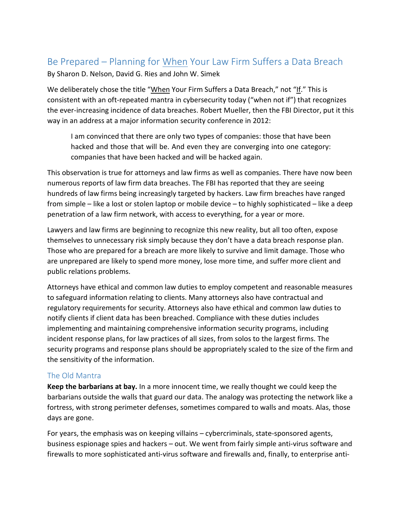# Be Prepared – Planning for When Your Law Firm Suffers a Data Breach

By Sharon D. Nelson, David G. Ries and John W. Simek

We deliberately chose the title "When Your Firm Suffers a Data Breach," not "If." This is consistent with an oft-repeated mantra in cybersecurity today ("when not if") that recognizes the ever-increasing incidence of data breaches. Robert Mueller, then the FBI Director, put it this way in an address at a major information security conference in 2012:

I am convinced that there are only two types of companies: those that have been hacked and those that will be. And even they are converging into one category: companies that have been hacked and will be hacked again.

This observation is true for attorneys and law firms as well as companies. There have now been numerous reports of law firm data breaches. The FBI has reported that they are seeing hundreds of law firms being increasingly targeted by hackers. Law firm breaches have ranged from simple – like a lost or stolen laptop or mobile device – to highly sophisticated – like a deep penetration of a law firm network, with access to everything, for a year or more.

Lawyers and law firms are beginning to recognize this new reality, but all too often, expose themselves to unnecessary risk simply because they don't have a data breach response plan. Those who are prepared for a breach are more likely to survive and limit damage. Those who are unprepared are likely to spend more money, lose more time, and suffer more client and public relations problems.

Attorneys have ethical and common law duties to employ competent and reasonable measures to safeguard information relating to clients. Many attorneys also have contractual and regulatory requirements for security. Attorneys also have ethical and common law duties to notify clients if client data has been breached. Compliance with these duties includes implementing and maintaining comprehensive information security programs, including incident response plans, for law practices of all sizes, from solos to the largest firms. The security programs and response plans should be appropriately scaled to the size of the firm and the sensitivity of the information.

#### The Old Mantra

**Keep the barbarians at bay.** In a more innocent time, we really thought we could keep the barbarians outside the walls that guard our data. The analogy was protecting the network like a fortress, with strong perimeter defenses, sometimes compared to walls and moats. Alas, those days are gone.

For years, the emphasis was on keeping villains – cybercriminals, state-sponsored agents, business espionage spies and hackers – out. We went from fairly simple anti-virus software and firewalls to more sophisticated anti-virus software and firewalls and, finally, to enterprise anti-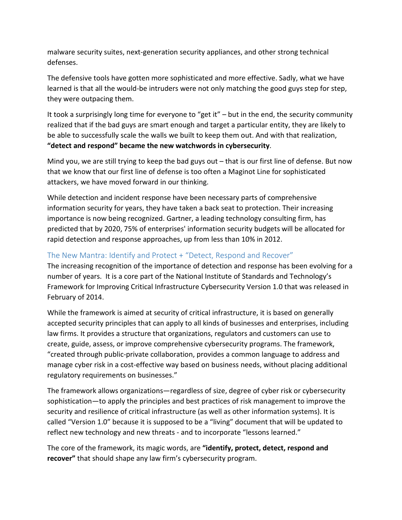malware security suites, next-generation security appliances, and other strong technical defenses.

The defensive tools have gotten more sophisticated and more effective. Sadly, what we have learned is that all the would-be intruders were not only matching the good guys step for step, they were outpacing them.

It took a surprisingly long time for everyone to "get it" – but in the end, the security community realized that if the bad guys are smart enough and target a particular entity, they are likely to be able to successfully scale the walls we built to keep them out. And with that realization, **"detect and respond" became the new watchwords in cybersecurity**.

Mind you, we are still trying to keep the bad guys out – that is our first line of defense. But now that we know that our first line of defense is too often a Maginot Line for sophisticated attackers, we have moved forward in our thinking.

While detection and incident response have been necessary parts of comprehensive information security for years, they have taken a back seat to protection. Their increasing importance is now being recognized. Gartner, a leading technology consulting firm, has predicted that by 2020, 75% of enterprises' information security budgets will be allocated for rapid detection and response approaches, up from less than 10% in 2012.

### The New Mantra: Identify and Protect + "Detect, Respond and Recover"

The increasing recognition of the importance of detection and response has been evolving for a number of years. It is a core part of the National Institute of Standards and Technology's Framework for Improving Critical Infrastructure Cybersecurity Version 1.0 that was released in February of 2014.

While the framework is aimed at security of critical infrastructure, it is based on generally accepted security principles that can apply to all kinds of businesses and enterprises, including law firms. It provides a structure that organizations, regulators and customers can use to create, guide, assess, or improve comprehensive cybersecurity programs. The framework, "created through public-private collaboration, provides a common language to address and manage cyber risk in a cost-effective way based on business needs, without placing additional regulatory requirements on businesses."

The framework allows organizations—regardless of size, degree of cyber risk or cybersecurity sophistication—to apply the principles and best practices of risk management to improve the security and resilience of critical infrastructure (as well as other information systems). It is called "Version 1.0" because it is supposed to be a "living" document that will be updated to reflect new technology and new threats - and to incorporate "lessons learned."

The core of the framework, its magic words, are **"identify, protect, detect, respond and recover"** that should shape any law firm's cybersecurity program.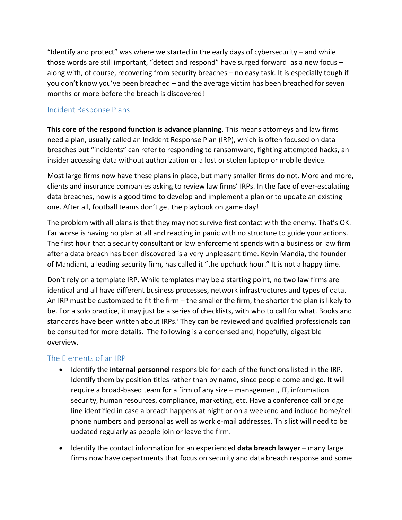"Identify and protect" was where we started in the early days of cybersecurity – and while those words are still important, "detect and respond" have surged forward as a new focus – along with, of course, recovering from security breaches – no easy task. It is especially tough if you don't know you've been breached – and the average victim has been breached for seven months or more before the breach is discovered!

#### Incident Response Plans

**This core of the respond function is advance planning**. This means attorneys and law firms need a plan, usually called an Incident Response Plan (IRP), which is often focused on data breaches but "incidents" can refer to responding to ransomware, fighting attempted hacks, an insider accessing data without authorization or a lost or stolen laptop or mobile device.

Most large firms now have these plans in place, but many smaller firms do not. More and more, clients and insurance companies asking to review law firms' IRPs. In the face of ever-escalating data breaches, now is a good time to develop and implement a plan or to update an existing one. After all, football teams don't get the playbook on game day!

The problem with all plans is that they may not survive first contact with the enemy. That's OK. Far worse is having no plan at all and reacting in panic with no structure to guide your actions. The first hour that a security consultant or law enforcement spends with a business or law firm after a data breach has been discovered is a very unpleasant time. Kevin Mandia, the founder of Mandiant, a leading security firm, has called it "the upchuck hour." It is not a happy time.

Don't rely on a template IRP. While templates may be a starting point, no two law firms are identical and all have different business processes, network infrastructures and types of data. An IRP must be customized to fit the firm – the smaller the firm, the shorter the plan is likely to be. For a solo practice, it may just be a series of checklists, with who to call for what. Books and standards have been wr[i](#page-5-0)tten about IRPs.<sup>i</sup> They can be reviewed and qualified professionals can be consulted for more details. The following is a condensed and, hopefully, digestible overview.

## The Elements of an IRP

- Identify the **internal personnel** responsible for each of the functions listed in the IRP. Identify them by position titles rather than by name, since people come and go. It will require a broad-based team for a firm of any size – management, IT, information security, human resources, compliance, marketing, etc. Have a conference call bridge line identified in case a breach happens at night or on a weekend and include home/cell phone numbers and personal as well as work e-mail addresses. This list will need to be updated regularly as people join or leave the firm.
- Identify the contact information for an experienced **data breach lawyer** many large firms now have departments that focus on security and data breach response and some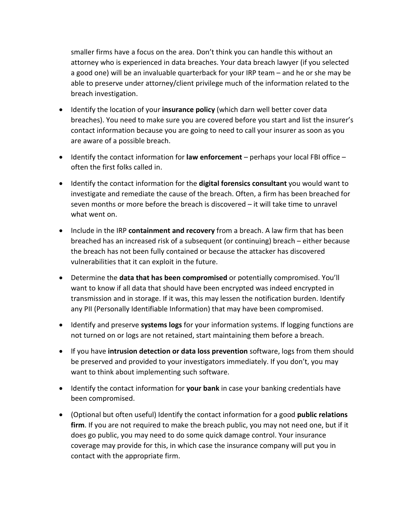smaller firms have a focus on the area. Don't think you can handle this without an attorney who is experienced in data breaches. Your data breach lawyer (if you selected a good one) will be an invaluable quarterback for your IRP team – and he or she may be able to preserve under attorney/client privilege much of the information related to the breach investigation.

- Identify the location of your **insurance policy** (which darn well better cover data breaches). You need to make sure you are covered before you start and list the insurer's contact information because you are going to need to call your insurer as soon as you are aware of a possible breach.
- Identify the contact information for **law enforcement** perhaps your local FBI office often the first folks called in.
- Identify the contact information for the **digital forensics consultant** you would want to investigate and remediate the cause of the breach. Often, a firm has been breached for seven months or more before the breach is discovered – it will take time to unravel what went on.
- Include in the IRP **containment and recovery** from a breach. A law firm that has been breached has an increased risk of a subsequent (or continuing) breach – either because the breach has not been fully contained or because the attacker has discovered vulnerabilities that it can exploit in the future.
- Determine the **data that has been compromised** or potentially compromised. You'll want to know if all data that should have been encrypted was indeed encrypted in transmission and in storage. If it was, this may lessen the notification burden. Identify any PII (Personally Identifiable Information) that may have been compromised.
- Identify and preserve **systems logs** for your information systems. If logging functions are not turned on or logs are not retained, start maintaining them before a breach.
- If you have **intrusion detection or data loss prevention** software, logs from them should be preserved and provided to your investigators immediately. If you don't, you may want to think about implementing such software.
- Identify the contact information for **your bank** in case your banking credentials have been compromised.
- (Optional but often useful) Identify the contact information for a good **public relations firm**. If you are not required to make the breach public, you may not need one, but if it does go public, you may need to do some quick damage control. Your insurance coverage may provide for this, in which case the insurance company will put you in contact with the appropriate firm.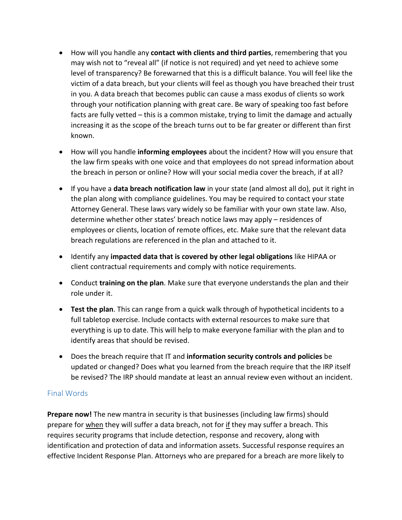- How will you handle any **contact with clients and third parties**, remembering that you may wish not to "reveal all" (if notice is not required) and yet need to achieve some level of transparency? Be forewarned that this is a difficult balance. You will feel like the victim of a data breach, but your clients will feel as though you have breached their trust in you. A data breach that becomes public can cause a mass exodus of clients so work through your notification planning with great care. Be wary of speaking too fast before facts are fully vetted – this is a common mistake, trying to limit the damage and actually increasing it as the scope of the breach turns out to be far greater or different than first known.
- How will you handle **informing employees** about the incident? How will you ensure that the law firm speaks with one voice and that employees do not spread information about the breach in person or online? How will your social media cover the breach, if at all?
- If you have a **data breach notification law** in your state (and almost all do), put it right in the plan along with compliance guidelines. You may be required to contact your state Attorney General. These laws vary widely so be familiar with your own state law. Also, determine whether other states' breach notice laws may apply – residences of employees or clients, location of remote offices, etc. Make sure that the relevant data breach regulations are referenced in the plan and attached to it.
- Identify any **impacted data that is covered by other legal obligations** like HIPAA or client contractual requirements and comply with notice requirements.
- Conduct **training on the plan**. Make sure that everyone understands the plan and their role under it.
- **Test the plan**. This can range from a quick walk through of hypothetical incidents to a full tabletop exercise. Include contacts with external resources to make sure that everything is up to date. This will help to make everyone familiar with the plan and to identify areas that should be revised.
- Does the breach require that IT and **information security controls and policies** be updated or changed? Does what you learned from the breach require that the IRP itself be revised? The IRP should mandate at least an annual review even without an incident.

## Final Words

**Prepare now!** The new mantra in security is that businesses (including law firms) should prepare for when they will suffer a data breach, not for if they may suffer a breach. This requires security programs that include detection, response and recovery, along with identification and protection of data and information assets. Successful response requires an effective Incident Response Plan. Attorneys who are prepared for a breach are more likely to